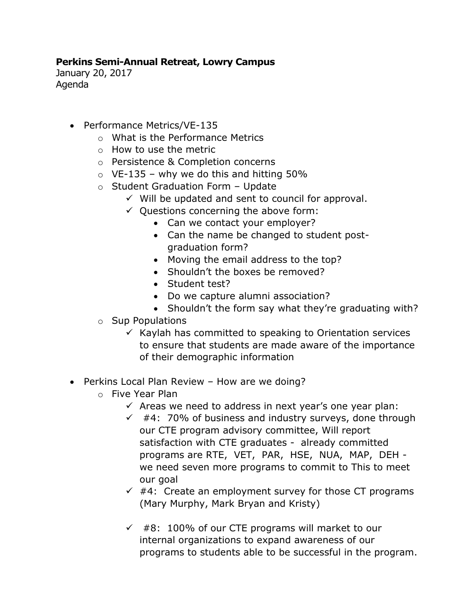## **Perkins Semi-Annual Retreat, Lowry Campus**

January 20, 2017 Agenda

- Performance Metrics/VE-135
	- o What is the Performance Metrics
	- o How to use the metric
	- o Persistence & Completion concerns
	- $\circ$  VE-135 why we do this and hitting 50%
	- o Student Graduation Form Update
		- $\checkmark$  Will be updated and sent to council for approval.
		- $\checkmark$  Questions concerning the above form:
			- Can we contact your employer?
			- Can the name be changed to student postgraduation form?
			- Moving the email address to the top?
			- Shouldn't the boxes be removed?
			- Student test?
			- Do we capture alumni association?
			- Shouldn't the form say what they're graduating with?
	- o Sup Populations
		- $\checkmark$  Kaylah has committed to speaking to Orientation services to ensure that students are made aware of the importance of their demographic information
- Perkins Local Plan Review How are we doing?
	- o Five Year Plan
		- $\checkmark$  Areas we need to address in next year's one year plan:
		- $\checkmark$  #4: 70% of business and industry surveys, done through our CTE program advisory committee, Will report satisfaction with CTE graduates - already committed programs are RTE, VET, PAR, HSE, NUA, MAP, DEH we need seven more programs to commit to This to meet our goal
		- $\checkmark$  #4: Create an employment survey for those CT programs (Mary Murphy, Mark Bryan and Kristy)
		- $\checkmark$  #8: 100% of our CTE programs will market to our internal organizations to expand awareness of our programs to students able to be successful in the program.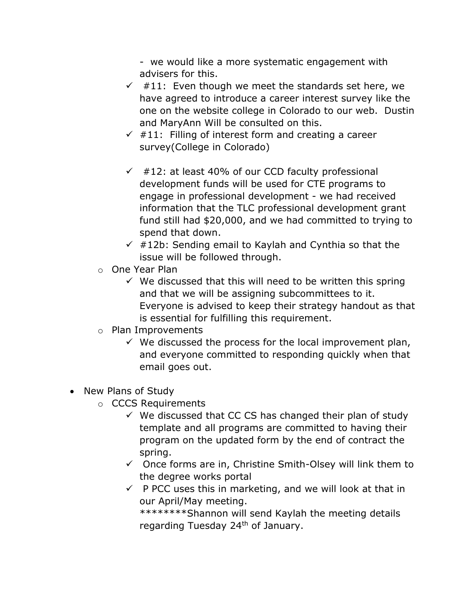- we would like a more systematic engagement with advisers for this.

- $\checkmark$  #11: Even though we meet the standards set here, we have agreed to introduce a career interest survey like the one on the website college in Colorado to our web. Dustin and MaryAnn Will be consulted on this.
- $\sqrt{411}$ : Filling of interest form and creating a career survey(College in Colorado)
- $\checkmark$  #12: at least 40% of our CCD faculty professional development funds will be used for CTE programs to engage in professional development - we had received information that the TLC professional development grant fund still had \$20,000, and we had committed to trying to spend that down.
- $\checkmark$  #12b: Sending email to Kaylah and Cynthia so that the issue will be followed through.
- o One Year Plan
	- $\checkmark$  We discussed that this will need to be written this spring and that we will be assigning subcommittees to it. Everyone is advised to keep their strategy handout as that is essential for fulfilling this requirement.
- o Plan Improvements
	- $\checkmark$  We discussed the process for the local improvement plan, and everyone committed to responding quickly when that email goes out.
- New Plans of Study
	- o CCCS Requirements
		- $\checkmark$  We discussed that CC CS has changed their plan of study template and all programs are committed to having their program on the updated form by the end of contract the spring.
		- $\checkmark$  Once forms are in, Christine Smith-Olsey will link them to the degree works portal
		- $\checkmark$  P PCC uses this in marketing, and we will look at that in our April/May meeting.

\*\*\*\*\*\*\*\*Shannon will send Kaylah the meeting details regarding Tuesday 24<sup>th</sup> of January.